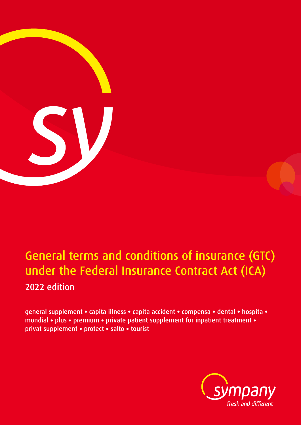

# General terms and conditions of insurance (GTC) under the Federal Insurance Contract Act (ICA) 2022 edition

general supplement **•** capita illness **•** capita accident **•** compensa **•** dental **•** hospita **•** mondial **•** plus **•** premium **•** private patient supplement for inpatient treatment **•** privat supplement **•** protect **•** salto **•** tourist

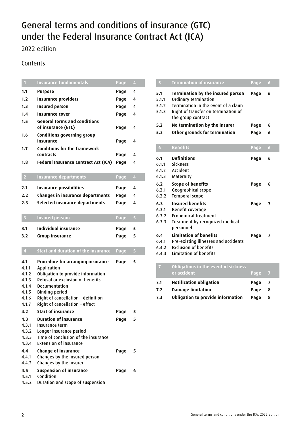## General terms and conditions of insurance (GTC) under the Federal Insurance Contract Act (ICA)

2022 edition

## **Contents**

| $\mathbf{1}$            | <b>Insurance fundamentals</b>                                                | Page | $\overline{4}$          |
|-------------------------|------------------------------------------------------------------------------|------|-------------------------|
| 1.1                     | <b>Purpose</b>                                                               | Page | 4                       |
| 1.2                     | <b>Insurance providers</b>                                                   | Page | 4                       |
| 1.3                     | <b>Insured person</b>                                                        | Page | 4                       |
| 1.4                     | <b>Insurance cover</b>                                                       | Page | 4                       |
| 1.5                     | <b>General terms and conditions</b><br>of insurance (GTC)                    | Page | 4                       |
| 1.6                     | Conditions governing group<br>insurance                                      | Page | 4                       |
| 1.7                     | <b>Conditions for the framework</b><br>contracts                             | Page | 4                       |
| 1.8                     | <b>Federal Insurance Contract Act (ICA)</b>                                  | Page | 4                       |
| $\overline{2}$          | <b>Insurance departments</b>                                                 | Page | $\overline{\mathbf{4}}$ |
| 2.1                     | <b>Insurance possibilities</b>                                               | Page | 4                       |
| 2.2                     | Changes in insurance departments                                             | Page | 4                       |
| 2.3                     | Selected insurance departments                                               | Page | 4                       |
|                         |                                                                              |      |                         |
| $\overline{\mathbf{3}}$ | <b>Insured persons</b>                                                       | Page | 5                       |
| 3.1                     | <b>Individual insurance</b>                                                  | Page | 5                       |
| 3.2                     | Group insurance                                                              | Page | 5                       |
| $\overline{4}$          | <b>Start and duration of the insurance</b>                                   |      | 5                       |
|                         |                                                                              | Page |                         |
| 4.1                     | Procedure for arranging insurance                                            | Page | 5                       |
| 4.1.1                   | Application                                                                  |      |                         |
| 4.1.2                   | Obligation to provide information<br><b>Refusal or exclusion of benefits</b> |      |                         |
| 4.1.3<br>4.1.4          | Documentation                                                                |      |                         |
| 4.1.5                   | <b>Binding period</b>                                                        |      |                         |
| 4.1.6                   | Right of cancellation - definition                                           |      |                         |
| 4.1.7                   | Right of cancellation - effect                                               |      |                         |
| 4.2                     | <b>Start of insurance</b>                                                    | Page | 5                       |
| 4.3                     | <b>Duration of insurance</b>                                                 | Page | 5                       |
| 4.3.1                   | Insurance term                                                               |      |                         |
| 4.3.2                   | Longer insurance period                                                      |      |                         |
| 4.3.3                   | Time of conclusion of the insurance                                          |      |                         |
| 4.3.4                   | <b>Extension of insurance</b>                                                |      |                         |
| 4.4                     | <b>Change of insurance</b>                                                   | Page | 5                       |
| 4.4.1                   |                                                                              |      |                         |
|                         | Changes by the insured person                                                |      |                         |
| 4.4.2                   | Changes by the insurer                                                       |      |                         |
| 4.5                     | <b>Suspension of insurance</b>                                               | Page | 6                       |
| 4.5.1<br>4.5.2          | Condition<br>Duration and scope of suspension                                |      |                         |

| $\overline{5}$                 | <b>Termination of insurance</b>                                                                                                                               | Page | 6                   |
|--------------------------------|---------------------------------------------------------------------------------------------------------------------------------------------------------------|------|---------------------|
| 5.1<br>5.1.1<br>5.1.2<br>5.1.3 | Termination by the insured person<br>Ordinary termination<br>Termination in the event of a claim<br>Right of transfer on termination of<br>the group contract | Page | 6                   |
| 5.2                            | No termination by the insurer                                                                                                                                 | Page | 6                   |
| 5.3                            | Other grounds for termination                                                                                                                                 | Page | 6                   |
| 6                              | <b>Benefits</b>                                                                                                                                               | Page | $\ddot{\mathbf{6}}$ |
| 6.1<br>6.1.1<br>6.1.2<br>6.1.3 | <b>Definitions</b><br><b>Sickness</b><br>Accident<br>Maternity                                                                                                | Page | 6                   |
| 6.2<br>6.2.1<br>6.2.2          | <b>Scope of benefits</b><br>Geographical scope<br><b>Temporal scope</b>                                                                                       | Page | 6                   |
| 6.3<br>6.3.1<br>6.3.2<br>6.3.3 | <b>Insured benefits</b><br>Benefit coverage<br><b>Economical treatment</b><br>Treatment by recognized medical<br>personnel                                    | Page | 7                   |
| 6.4<br>6.4.1<br>6.4.2<br>6.4.3 | <b>Limitation of benefits</b><br>Pre-existing illnesses and accidents<br><b>Exclusion of benefits</b><br><b>Limitation of benefits</b>                        | Page | 7                   |

|     | Obligations in the event of sickness<br>or accident | Page | - 7 |  |
|-----|-----------------------------------------------------|------|-----|--|
| 7.1 | <b>Notification obligation</b>                      | Page | - 7 |  |
| 7.2 | <b>Damage limitation</b>                            | Page | 8   |  |
| 7.3 | <b>Obligation to provide information</b>            | Page | 8   |  |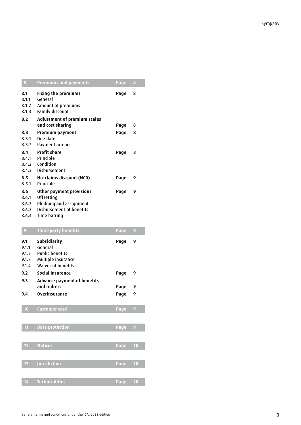| 8                              | <b>Premiums and payments</b>                                                          | <b>Page</b> | 8 |  |
|--------------------------------|---------------------------------------------------------------------------------------|-------------|---|--|
| 8.1<br>8.1.1<br>8.1.2<br>8.1.3 | <b>Fixing the premiums</b><br>General<br>Amount of premiums<br><b>Family discount</b> | Page        | 8 |  |
| 8.2                            | <b>Adjustment of premium scales</b>                                                   |             |   |  |
|                                | and cost sharing                                                                      | Page        | 8 |  |
| 8.3                            | Premium payment                                                                       | Page        | 8 |  |
| 8.3.1                          | Due date                                                                              |             |   |  |
| 8.3.2                          | Payment arrears                                                                       |             |   |  |
| 8.4                            | <b>Profit share</b>                                                                   | Page        | 8 |  |
| 8.4.1                          | Principle                                                                             |             |   |  |
| 8.4.2                          | Condition                                                                             |             |   |  |
| 8.4.3                          | <b>Disbursement</b>                                                                   |             |   |  |
| 8.5                            | No-claims discount (NCD)                                                              | Page        | 9 |  |
| 8.5.1                          | Principle                                                                             |             |   |  |
| 8.6                            | Other payment provisions                                                              | Page        | 9 |  |
| 8.6.1                          | Offsetting                                                                            |             |   |  |
| 8.6.2                          | Pledging and assignment                                                               |             |   |  |
| 8.6.3                          | Disbursement of benefits                                                              |             |   |  |
| 8.6.4                          | <b>Time barring</b>                                                                   |             |   |  |
|                                |                                                                                       |             |   |  |

| $\overline{9}$                          | <b>Third-party benefits</b>                                                                                 | <b>Page</b> | 9  |
|-----------------------------------------|-------------------------------------------------------------------------------------------------------------|-------------|----|
| 9.1<br>9.1.1<br>9.1.2<br>9.1.3<br>9.1.4 | <b>Subsidiarity</b><br>General<br><b>Public benefits</b><br>Multiple insurance<br><b>Waiver of benefits</b> | Page        | 9  |
| 9.2                                     | Social insurance                                                                                            | Page        | 9  |
| 9.3                                     | <b>Advance payment of benefits</b><br>and redress                                                           | Page        | 9  |
| 9.4                                     | <b>Overinsurance</b>                                                                                        | Page        | 9  |
| 10                                      | <b>Customer card</b>                                                                                        | Page        | 9  |
| 11                                      | <b>Data protection</b>                                                                                      | <b>Page</b> | 9  |
| 12                                      | <b>Notices</b>                                                                                              | Page        | 10 |
| 13                                      | Jurisdiction                                                                                                | Page        | 10 |
| 14                                      | <b>Technicalities</b>                                                                                       | <b>Page</b> | 10 |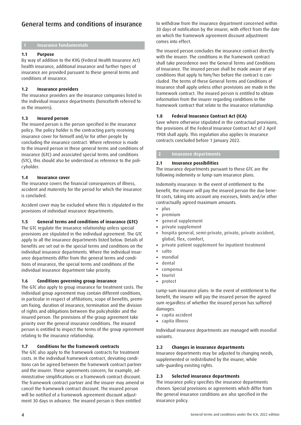## General terms and conditions of insurance

#### **1 Insurance fundamentals**

#### **1.1 Purpose**

By way of addition to the KVG (Federal Health Insurance Act) health insurance, additional insurance and further types of insurance are provided pursuant to these general terms and conditions of insurance.

#### **1.2 Insurance providers**

The insurance providers are the insurance companies listed in the individual insurance departments (henceforth referred to as the insurers).

#### **1.3 Insured person**

The insured person is the person specified in the insurance policy. The policy holder is the contracting party receiving insurance cover for himself and/or for other people by concluding the insurance contract. Where reference is made to the insured person in these general terms and conditions of insurance (GTC) and associated special terms and conditions (STC), this should also be understood as reference to the policyholder.

#### **1.4 Insurance cover**

The insurance covers the financial consequences of illness, accident and maternity for the period for which the insurance is concluded.

Accident cover may be excluded where this is stipulated in the provisions of individual insurance departments.

#### **1.5 General terms and conditions of insurance (GTC)**

The GTC regulate the insurance relationship unless special provisions are stipulated in the individual agreement. The GTC apply to all the insurance departments listed below. Details of benefits are set out in the special terms and conditions on the individual insurance departments. Where the individual insurance departments differ from the general terms and conditions of insurance, the special terms and conditions of the individual insurance department take priority.

#### **1.6 Conditions governing group insurance**

The GTC also apply to group insurance for treatment costs. The individual group agreement may contain different conditions, in particular in respect of affiliations, scope of benefits, premium fixing, duration of insurance, termination and the division of rights and obligations between the policyholder and the insured person. The provisions of the group agreement take priority over the general insurance conditions. The insured person is entitled to inspect the terms of the group agreement relating to the insurance relationship.

#### **1.7 Conditions for the framework contracts**

The GTC also apply to the framework contracts for treatment costs. In the individual framework contract, deviating conditions can be agreed between the framework contract partner and the insurer. These agreements concern, for example, administrative simplifications or a framework contract discount. The framework contract partner and the insurer may amend or cancel the framework contract discount. The insured person will be notified of a framework agreement discount adjustment 30 days in advance. The insured person is then entitled

to withdraw from the insurance department concerned within 30 days of notification by the insurer, with effect from the date on which the framework agreement discount adjustment comes into effect.

The insured person concludes the insurance contract directly with the insurer. The conditions in the framework contract shall take precedence over the General Terms and Conditions of Insurance. The insured person shall be made aware of any conditions that apply to him/her before the contract is concluded. The terms of these General Terms and Conditions of Insurance shall apply unless other provisions are made in the framework contract. The insured person is entitled to obtain information from the insurer regarding conditions in the framework contract that relate to the insurance relationship.

#### **1.8 Federal Insurance Contract Act (ICA)**

Save where otherwise stipulated in the contractual provisions, the provisions of the Federal Insurance Contract Act of 2 April 1908 shall apply. This regulation also applies to insurance contracts concluded before 1 January 2022.

#### **2 Insurance departments**

#### **2.1 Insurance possibilities**

The insurance departments pursuant to these GTC are the following indemnity or lump-sum insurance plans.

Indemnity insurance: In the event of entitlement to the benefit, the insurer will pay the insured person the due benefit costs, taking into account any excesses, limits and/or other contractually agreed maximum amounts.

- **•** plus
- **•** premium
- **•** general supplement
- **•** private supplement
- **•** hospita general, semi-private, private, private accident, global, flex, comfort,
- **•** private patient supplement for inpatient treatment
- **•** salto
- **•** mondial
- **•** dental
- **•** compensa
- **•** tourist
- **•** protect

Lump-sum insurance plans: In the event of entitlement to the benefit, the insurer will pay the insured person the agreed sum regardless of whether the insured person has suffered damages.

- **•** capita accident
- **•** capita illness

Individual insurance departments are managed with mondial variants.

#### **2.2 Changes in insurance departments**

Insurance departments may be adjusted to changing needs, supplemented or redistributed by the insurer, while safe-guarding existing rights.

#### **2.3 Selected insurance departments**

The insurance policy specifies the insurance departments chosen. Special provisions or agreements which differ from the general insurance conditions are also specified in the insurance policy.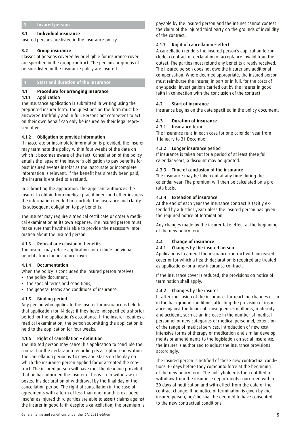#### **3 Insured persons**

#### **3.1 Individual insurance**

Insured persons are listed in the insurance policy.

#### **3.2 Group insurance**

Classes of persons covered by or eligible for insurance cover are specified in the group contract. The persons or groups of persons listed in the insurance policy are insured.

#### **4 Start and duration of the insurance**

#### **4.1 Procedure for arranging insurance**

#### 4.1.1 Application

The insurance application is submitted in writing using the preprinted insurer form. The questions on the form must be answered truthfully and in full. Persons not competent to act on their own behalf can only be insured by their legal representative.

#### 4.1.2 Obligation to provide information

If inaccurate or incomplete information is provided, the insurer may terminate the policy within four weeks of the date on which it becomes aware of the fact. Cancellation of the policy entails the lapse of the insurer's obligation to pay benefits for past insured events insofar as the inaccurate or incomplete information is relevant. If the benefit has already been paid, the insurer is entitled to a refund.

In submitting the application, the applicant authorizes the insurer to obtain from medical practitioners and other insurers the information needed to conclude the insurance and clarify its subsequent obligation to pay benefits.

The insurer may require a medical certificate or order a medical examination at its own expense. The insured person must make sure that he/she is able to provide the necessary information about the insured person.

#### 4.1.3 Refusal or exclusion of benefits

The insurer may refuse applications or exclude individual benefits from the insurance cover.

#### 4.1.4 Documentation

When the policy is concluded the insured person receives

- **•** the policy document,
- **•** the special terms and conditions,
- **•** the general terms and conditions of insurance.

#### 4.1.5 Binding period

Any person who applies to the insurer for insurance is held to that application for 14 days if they have not specified a shorter period for the application's acceptance. If the insurer requires a medical examination, the person submitting the application is held to the application for four weeks.

#### 4.1.6 Right of cancellation – definition

The insured person may cancel his application to conclude the contract or the declaration regarding its acceptance in writing. The cancellation period is 14 days and starts on the day on which the insurance person applied for or accepted the contract. The insured person will have met the deadline provided that he has informed the insurer of his wish to withdraw or posted his declaration of withdrawal by the final day of the cancellation period. The right of cancellation in the case of agreements with a term of less than one month is excluded. Insofar as injured third parties are able to assert claims against the insurer in good faith despite a cancellation, the premium is

General terms and conditions under the ICA, 2022 edition 5 and 5 and 5 and 5 and 5 and 5 and 5 and 5 and 5 and 5 and 5 and 5 and 5 and 5 and 5 and 5 and 5 and 5 and 5 and 5 and 5 and 5 and 5 and 5 and 5 and 5 and 5 and 5 a

payable by the insured person and the insurer cannot contest the claim of the injured third party on the grounds of invalidity of the contract.

#### 4.1.7 Right of cancellation – effect

A cancellation renders the insured person's application to conclude a contract or declaration of acceptance invalid from the outset. The parties must refund any benefits already received. The insured person does not owe the insurer any additional compensation. Where deemed appropriate, the insured person must reimburse the insurer, in part or in full, for the costs of any special investigations carried out by the insurer in good faith in connection with the conclusion of the contract.

#### **4.2 Start of insurance**

Insurance begins on the date specified in the policy document.

#### **4.3 Duration of insurance**

#### 4.3.1 Insurance term

The insurance runs in each case for one calendar year from 1 January to 31 December.

#### 4.3.2 Longer insurance period

If insurance is taken out for a period of at least three full calendar years, a discount may be granted.

#### 4.3.3 Time of conclusion of the insurance

The insurance may be taken out at any time during the calendar year. The premium will then be calculated on a pro rata basis.

#### 4.3.4 Extension of insurance

At the end of each year the insurance contract is tacitly extended by a further year unless the insured person has given the required notice of termination.

Any changes made by the insurer take effect at the beginning of the new policy term.

#### **4.4 Change of insurance**

#### 4.4.1 Changes by the insured person

Applications to amend the insurance contract with increased cover or for which a health declaration is required are treated as applications for a new insurance contract.

If the insurance cover is reduced, the provisions on notice of termination shall apply.

#### 4.4.2 Changes by the insurer

If, after conclusion of the insurance, far-reaching changes occur in the background conditions affecting the provision of insurance against the financial consequences of illness, maternity and accident, such as an increase in the number of medical personnel or new categories of medical personnel, extension of the range of medical services, introduction of new costintensive forms of therapy or medication and similar developments or amendments to the legislation on social insurance, the insurer is authorized to adjust the insurance provisions accordingly.

The insured person is notified of these new contractual conditions 30 days before they come into force at the beginning of the new policy term. The policyholder is then entitled to withdraw from the insurance departments concerned within 30 days of notification and with effect from the date of the contract change. If no notice of termination is given by the insured person, he/she shall be deemed to have consented to the new contractual conditions.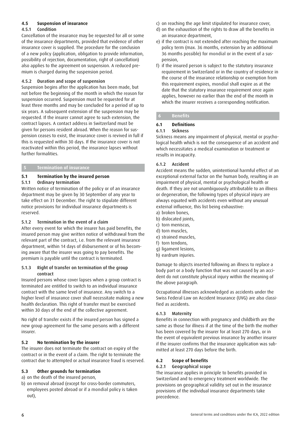#### **4.5 Suspension of insurance**

#### 4.5.1 Condition

Cancellation of the insurance may be requested for all or some of the insurance departments, provided that evidence of other insurance cover is supplied. The procedure for the conclusion of a new policy (application, obligation to provide information, possibility of rejection, documentation, right of cancellation) also applies to the agreement on suspension. A reduced premium is charged during the suspension period.

#### 4.5.2 Duration and scope of suspension

Suspension begins after the application has been made, but not before the beginning of the month in which the reason for suspension occurred. Suspension must be requested for at least three months and may be concluded for a period of up to six years. A subsequent extension of the suspension may be requested. If the insurer cannot agree to such extension, the contract lapses. A contact address in Switzerland must be given for persons resident abroad. When the reason for suspension ceases to exist, the insurance cover is revived in full if this is requested within 30 days. If the insurance cover is not reactivated within this period, the insurance lapses without further formalities.

#### **5 Termination of insurance**

#### **5.1 Termination by the insured person**  5.1.1 Ordinary termination

Written notice of termination of the policy or of an insurance department may be given by 30 September of any year to take effect on 31 December. The right to stipulate different notice provisions for individual insurance departments is reserved.

#### 5.1.2 Termination in the event of a claim

After every event for which the insurer has paid benefits, the insured person may give written notice of withdrawal from the relevant part of the contract, i.e. from the relevant insurance department, within 14 days of disbursement or of his becoming aware that the insurer was going to pay benefits. The premium is payable until the contract is terminated.

#### 5.1.3 Right of transfer on termination of the group contract

Insured persons whose cover lapses when a group contract is terminated are entitled to switch to an individual insurance contract with the same level of insurance. Any switch to a higher level of insurance cover shall necessitate making a new health declaration. This right of transfer must be exercised within 30 days of the end of the collective agreement.

No right of transfer exists if the insured person has signed a new group agreement for the same persons with a different insurer.

#### **5.2 No termination by the insurer**

The insurer does not terminate the contract on expiry of the contract or in the event of a claim. The right to terminate the contract due to attempted or actual insurance fraud is reserved.

#### **5.3 Other grounds for termination**

- a) on the death of the insured person,
- b) on removal abroad (except for cross-border commuters, employees posted abroad or if a mondial policy is taken out),
- c) on reaching the age limit stipulated for insurance cover,
- d) on the exhaustion of the rights to draw all the benefits in an insurance department,
- e) if the contract is not extended after reaching the maximum policy term (max. 36 months, extension by an additional 36 months possible) for mondial or in the event of a suspension,
- f) if the insured person is subject to the statutory insurance requirement in Switzerland or in the country of residence in the course of the insurance relationship or exemption from this requirement expires, mondial shall expire as at the date that the statutory insurance requirement once again applies, however no earlier than the end of the month in which the insurer receives a corresponding notification.

### **6 Benefits**

## **6.1 Definitions**

#### 6.1.1 Sickness

Sickness means any impairment of physical, mental or psychological health which is not the consequence of an accident and which necessitates a medical examination or treatment or results in incapacity.

#### 6.1.2 Accident

Accident means the sudden, unintentional harmful effect of an exceptional external factor on the human body, resulting in an impairment of physical, mental or psychological health or death. If they are not unambiguously attributable to an illness or degeneration, the following types of physical injury are always equated with accidents even without any unusual external influence, this list being exhaustive:

- a) broken bones,
- b) dislocated joints,
- c) torn meniscus,
- d) torn muscles,
- e) strained muscles,
- f) torn tendons,
- g) ligament lesions,
- h) eardrum injuries.

Damage to objects inserted following an illness to replace a body part or a body function that was not caused by an accident do not constitute physical injury within the meaning of the above paragraph.

Occupational illnesses acknowledged as accidents under the Swiss Federal Law on Accident Insurance (UVG) are also classified as accidents.

#### 6.1.3 Maternity

Benefits in connection with pregnancy and childbirth are the same as those for illness if at the time of the birth the mother has been covered by the insurer for at least 270 days, or in the event of equivalent previous insurance by another insurer if the insurer confirms that the insurance application was submitted at least 270 days before the birth.

#### **6.2 Scope of benefits**

#### 6.2.1 Geographical scope

The insurance applies in principle to benefits provided in Switzerland and to emergency treatment worldwide. The provisions on geographical validity set out in the insurance provisions of the individual insurance departments take precedence.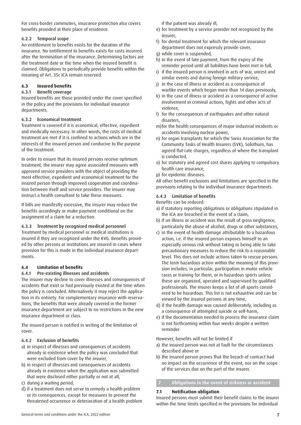For cross-border commuters, insurance protection also covers benefits provided at their place of residence.

#### 6.2.2 Temporal scope

An entitlement to benefits exists for the duration of the insurance. No entitlement to benefits exists for costs incurred after the termination of the insurance. Determining factors are the treatment date or the time when the insured benefit is claimed. Obligations to periodically provide benefits within the meaning of Art. 35c ICA remain reserved.

#### **6.3 Insured benefits**

#### 6.3.1 Benefit coverage

Insured benefits are those provided under the cover specified in the policy and the provisions for individual insurance departments.

#### 6.3.2 Economical treatment

Treatment is covered if it is economical, effective, expedient and medically necessary. In other words, the costs of medical treatment are met if it is confined to actions which are in the interests of the insured person and conducive to the purpose of the treatment.

In order to ensure that its insured persons receive optimum treatment, the insurer may agree associated measures with approved service providers with the object of providing the most effective, expedient and economical treatment for the insured person through improved cooperation and coordination between itself and service providers. The insurer may instruct a health consultant to take these measures.

If bills are manifestly excessive, the insurer may reduce the benefits accordingly or make payment conditional on the assignment of a claim for a reduction.

#### 6.3.3 Treatment by recognized medical personnel

Treatment by medical personnel or medical institutions is insured if they are recognized under the KVG. Benefits provided by other persons or institutions are insured in cases where provision for this is made in the individual insurance departments.

#### **6.4 Limitation of benefits**

#### 6.4.1 Pre-existing illnesses and accidents

The insurer may decline to cover illnesses and consequences of accidents that exist or had previously existed at the time when the policy is concluded. Alternatively it may reject the application in its entirety. For complementary insurance with reservations, the benefits that were already covered in the former insurance department are subject to no restrictions in the new insurance department or class.

The insured person is notified in writing of the limitation of cover.

#### 6.4.2 Exclusion of benefits

- a) in respect of illnesses and consequences of accidents already in existence when the policy was concluded that were excluded from cover by the insurer,
- b) in respect of illnesses and consequences of accidents already in existence when the application was submitted that were disclosed either partially or not at all,
- c) during a waiting period,
- d) if a treatment does not serve to remedy a health problem or its consequences, except for measures to prevent the threatened occurrence or deterioration of a health problem

if the patient was already ill,

- e) for treatment by a service provider not recognized by the insurer,
- f) for dental treatment for which the relevant insurance department does not expressly provide cover,
- g) while cover is suspended,
- h) in the event of late payment, from the expiry of the reminder period until all liabilities have been met in full,
- i) if the insured person is involved in acts of war, unrest and similar events and during foreign military service,
- j) in the case of illness or accident as a consequence of warlike events which began more than 14 days previously,
- k) in the case of illness or accident as a consequence of active involvement in criminal actions, fights and other acts of violence,
- l) for the consequences of earthquakes and other natural disasters,
- m)for the health consequences of major industrial incidents or accidents involving nuclear power,
- n) for organ transplants for which the Swiss Association for the Community Tasks of Health Insurers (SVK), Solothurn, has agreed flat-rate charges, regardless of where the transplant is conducted,
- o) for statutory and agreed cost shares applying to compulsory health care insurance,
- p) for epidemic diseases.

All other benefit exclusions and limitations are specified in the provisions relating to the individual insurance departments.

#### 6.4.3 Limitation of benefits

#### Benefits can be reduced:

- a) if statutory reporting obligations or obligations stipulated in the ICA are breached in the event of a claim,
- b) if an illness or accident was the result of gross negligence, particularly the abuse of alcohol, drugs or other substances,
- c) in the event of health damage attributable to a hazardous action, i.e. if the insured person exposes himself to an especially serious risk without taking or being able to take precautionary measures to reduce the risk to a reasonable level. This does not include actions taken to rescue persons. The term hazardous action within the meaning of this provision includes, in particular, participation in motor vehicle races or training for them, or in hazardous sports unless these are organized, operated and supervised by qualified professionals. The insurer keeps a list of all sports considered to be hazardous. This list is not exhaustive and can be viewed by the insured persons at any time,
- d) if the health damage was caused deliberately, including as a consequence of attempted suicide or self-harm,
- e) if the documentation needed to process the insurance claim is not forthcoming within four weeks despite a written reminder.

However, benefits will not be limited if

- a) the insured person was not at fault for the circumstances described above or
- b) the insured person proves that the breach of contract had no impact on the occurrence of the event, nor on the scope of the services due on the part of the insurer.

#### **7 Obligations in the event of sickness or accident**

#### **7.1 Notification obligation**

Insured persons must submit their benefit claims to the insurer within the time limits specified in the provisions for individual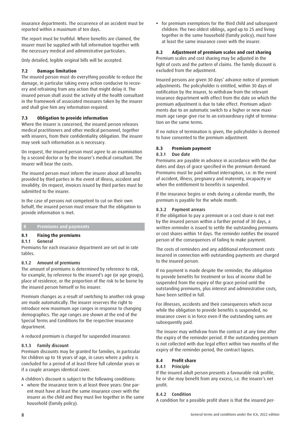insurance departments. The occurrence of an accident must be reported within a maximum of ten days.

The report must be truthful. Where benefits are claimed, the insurer must be supplied with full information together with the necessary medical and administrative particulars.

Only detailed, legible original bills will be accepted.

#### **7.2 Damage limitation**

The insured person must do everything possible to reduce the damage, in particular taking every action conducive to recovery and refraining from any action that might delay it. The insured person shall assist the activity of the health consultant in the framework of associated measures taken by the insurer and shall give him any information required.

#### **7.3 Obligation to provide information**

Where the insurer is concerned, the insured person releases medical practitioners and other medical personnel, together with insurers, from their confidentiality obligation. The insurer may seek such information as is necessary.

On request, the insured person must agree to an examination by a second doctor or by the insurer's medical consultant. The insurer will bear the costs.

The insured person must inform the insurer about all benefits provided by third parties in the event of illness, accident and invalidity. On request, invoices issued by third parties must be submitted to the insurer.

In the case of persons not competent to cut on their own behalf, the insured person must ensure that the obligation to provide information is met.

#### **8 Premiums and payments**

#### **8.1 Fixing the premiums**

#### 8.1.1 General

Premiums for each insurance department are set out in rate tables.

#### 8.1.2 Amount of premiums

The amount of premiums is determined by reference to risk, for example, by reference to the insured's age (or age groups), place of residence, or the proportion of the risk to be borne by the insured person himself or his insurer.

Premium changes as a result of switching to another risk group are made automatically. The insurer reserves the right to introduce new maximum age ranges in response to changing demographics. The age ranges are shown at the end of the Special Terms and Conditions for the respective insurance department.

A reduced premium is charged for suspended insurance.

#### 8.1.3 Family discount

Premium discounts may be granted for families, in particular for children up to 18 years of age, in cases where a policy is concluded for a period of at least three full calendar years or if a couple arranges identical cover.

A children's discount is subject to the following conditions:

**•** where the insurance term is at least three years: One parent must have at least the same insurance cover with the insurer as the child and they must live together in the same household (family policy).

**•** for premium exemptions for the third child and subsequent children: The two oldest siblings, aged up to 25 and living together in the same household (family policy), must have at least the same insurance cover with the insurer.

#### **8.2 Adjustment of premium scales and cost sharing**

Premium scales and cost sharing may be adjusted in the light of costs and the pattern of claims. The family discount is excluded from the adjustment.

Insured persons are given 30 days' advance notice of premium adjustments. The policyholder is entitled, within 30 days of notification by the insurer, to withdraw from the relevant insurance department with effect from the date on which the premium adjustment is due to take effect. Premium adjustments due to an automatic switch to a higher or new maximum age range give rise to an extraordinary right of termination on the same terms.

If no notice of termination is given, the policyholder is deemed to have consented to the premium adjustment.

#### **8.3 Premium payment**

#### 8.3.1 Due date

Premiums are payable in advance in accordance with the due dates and days of grace specified in the premium demand. Premiums must be paid without interruption, i.e. in the event of accident, illness, pregnancy and maternity, incapacity or when the entitlement to benefits is suspended.

If the insurance begins or ends during a calendar month, the premium is payable for the whole month.

#### 8.3.2 Payment arrears

If the obligation to pay a premium or a cost share is not met by the insured person within a further period of 30 days, a written reminder is issued to settle the outstanding premiums or cost shares within 14 days. The reminder notifies the insured person of the consequences of failing to make payment.

The costs of reminders and any additional enforcement costs incurred in connection with outstanding payments are charged to the insured person.

If no payment is made despite the reminder, the obligation to provide benefits for treatment or loss of income shall be suspended from the expiry of the grace period until the outstanding premiums, plus interest and administrative costs, have been settled in full.

For illnesses, accidents and their consequences which occur while the obligation to provide benefits is suspended, no insurance cover is in force even if the outstanding sums are subsequently paid.

The insurer may withdraw from the contract at any time after the expiry of the reminder period. If the outstanding premium is not collected with due legal effect within two months of the expiry of the reminder period, the contract lapses.

#### **8.4 Profit share**

#### 8.4.1 Principle

If the insured adult person presents a favourable risk profile, he or she may benefit from any excess, i.e. the insurer's net profit.

#### 8.4.2 Condition

A condition for a possible profit share is that the insured per-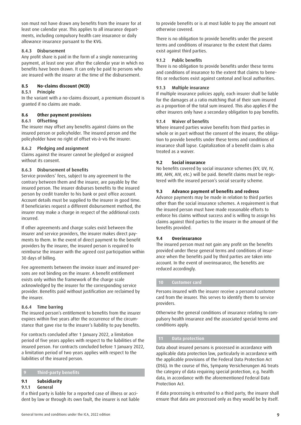son must not have drawn any benefits from the insurer for at least one calendar year. This applies to all insurance departments, including compulsory health care insurance or daily allowance insurance pursuant to the KVG.

#### 8.4.3 Disbursement

Any profit share is paid in the form of a single nonrecurring payment, at least one year after the calendar year in which no benefits have been drawn. It can only be paid to persons who are insured with the insurer at the time of the disbursement.

#### **8.5 No-claims discount (NCD)**

#### 8.5.1 Principle

In the variant with a no-claims discount, a premium discount is granted if no claims are made.

#### **8.6 Other payment provisions**

#### 8.6.1 Offsetting

The insurer may offset any benefits against claims on the insured person or policyholder. The insured person and the policyholder have no right of offset vis-à-vis the insurer.

#### 8.6.2 Pledging and assignment

Claims against the insurer cannot be pledged or assigned without its consent.

#### 8.6.3 Disbursement of benefits

Service providers' fees, subject to any agreement to the contrary between them and the insurer, are payable by the insured person. The insurer disburses benefits to the insured person by credit transfer to his bank or post office account. Account details must be supplied to the insurer in good time. If beneficiaries request a different disbursement method, the insurer may make a charge in respect of the additional costs incurred.

If other agreements and charge scales exist between the insurer and service providers, the insurer makes direct payments to them. In the event of direct payment to the benefit providers by the insurer, the insured person is required to reimburse the insurer with the agreed cost participation within 30 days of billing.

Fee agreements between the invoice issuer and insured persons are not binding on the insurer. A benefit entitlement exists only within the framework of the charge scale acknowledged by the insurer for the corresponding service provider. Benefits paid without justification are reclaimed by the insurer.

#### 8.6.4 Time barring

The insured person's entitlement to benefits from the insurer expires within five years after the occurrence of the circumstance that gave rise to the insurer's liability to pay benefits.

For contracts concluded after 1 January 2022, a limitation period of five years applies with respect to the liabilities of the insured person. For contracts concluded before 1 January 2022, a limitation period of two years applies with respect to the liabilities of the insured person.

#### **9 Third-party benefits**

#### **9.1 Subsidiarity**

#### 9.1.1 General

If a third party is liable for a reported case of illness or accident by law or through its own fault, the insurer is not liable to provide benefits or is at most liable to pay the amount not otherwise covered.

There is no obligation to provide benefits under the present terms and conditions of insurance to the extent that claims exist against third parties.

#### 9.1.2 Public benefits

There is no obligation to provide benefits under these terms and conditions of insurance to the extent that claims to benefits or reductions exist against cantonal and local authorities.

#### 9.1.3 Multiple insurance

If multiple insurance policies apply, each insurer shall be liable for the damages at a ratio matching that of their sum insured as a proportion of the total sum insured. This also applies if the other insurers only have a secondary obligation to pay benefits.

#### 9.1.4 Waiver of benefits

Where insured parties waive benefits from third parties in whole or in part without the consent of the insurer, the obligation to provide benefits under these terms and conditions of insurance shall lapse. Capitalization of a benefit claim is also treated as a waiver.

#### **9.2 Social insurance**

No benefits covered by social insurance schemes (KV, UV, IV, MV, AHV, AIV, etc.) will be paid. Benefit claims must be registered with the insured person's social security scheme.

#### **9.3 Advance payment of benefits and redress**

Advance payments may be made in relation to third parties other than the social insurance schemes. A requirement is that the insured person must have made reasonable efforts to enforce his claims without success and is willing to assign his claims against third parties to the insurer in the amount of the benefits provided.

#### **9.4 Overinsurance**

The insured person must not gain any profit on the benefits provided under these general terms and conditions of insurance when the benefits paid by third parties are taken into account. In the event of overinsurance, the benefits are reduced accordingly.

#### **10 Customer card**

Persons insured with the insurer receive a personal customer card from the insurer. This serves to identify them to service providers.

Otherwise the general conditions of insurance relating to compulsory health insurance and the associated special terms and conditions apply.

#### **11 Data protection**

Data about insured persons is processed in accordance with applicable data protection law, particularly in accordance with the applicable provisions of the Federal Data Protection Act (DSG). In the course of this, Sympany Versicherungen AG treats the category of data requiring special protection, e.g. health data, in accordance with the aforementioned Federal Data Protection Act.

If data processing is entrusted to a third party, the insurer shall ensure that data are processed only as they would be by itself.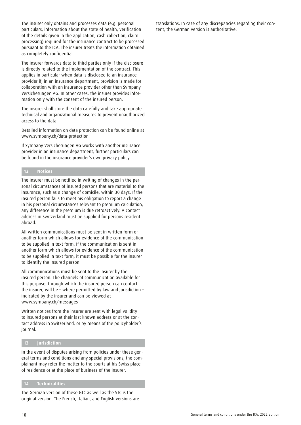The insurer only obtains and processes data (e.g. personal particulars, information about the state of health, verification of the details given in the application, cash collection, claim processing) required for the insurance contract to be processed pursuant to the ICA. The insurer treats the information obtained as completely confidential.

The insurer forwards data to third parties only if the disclosure is directly related to the implementation of the contract. This applies in particular when data is disclosed to an insurance provider if, in an insurance department, provision is made for collaboration with an insurance provider other than Sympany Versicherungen AG. In other cases, the insurer provides information only with the consent of the insured person.

The insurer shall store the data carefully and take appropriate technical and organizational measures to prevent unauthorized access to the data.

Detailed information on data protection can be found online at www.sympany.ch/data-protection

If Sympany Versicherungen AG works with another insurance provider in an insurance department, further particulars can be found in the insurance provider's own privacy policy.

#### **12 Notices**

The insurer must be notified in writing of changes in the personal circumstances of insured persons that are material to the insurance, such as a change of domicile, within 30 days. If the insured person fails to meet his obligation to report a change in his personal circumstances relevant to premium calculation, any difference in the premium is due retroactively. A contact address in Switzerland must be supplied for persons resident abroad.

All written communications must be sent in written form or another form which allows for evidence of the communication to be supplied in text form. If the communication is sent in another form which allows for evidence of the communication to be supplied in text form, it must be possible for the insurer to identify the insured person.

All communications must be sent to the insurer by the insured person. The channels of communication available for this purpose, through which the insured person can contact the insurer, will be – where permitted by law and jurisdiction – indicated by the insurer and can be viewed at www.sympany.ch/messages

Written notices from the insurer are sent with legal validity to insured persons at their last known address or at the contact address in Switzerland, or by means of the policyholder's journal.

#### **13 Jurisdiction**

In the event of disputes arising from policies under these general terms and conditions and any special provisions, the complainant may refer the matter to the courts at his Swiss place of residence or at the place of business of the insurer.

#### **14 Technicalities**

The German version of these GTC as well as the STC is the original version. The French, Italian, and English versions are translations. In case of any discrepancies regarding their content, the German version is authoritative.